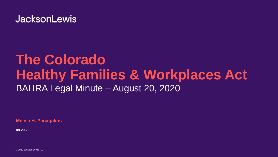## **JacksonLewis**

# **The Colorado Healthy Families & Workplaces Act** BAHRA Legal Minute – August 20, 2020

**Melisa H. Panagakos**

**08.20.20**

© 2020 Jackson Lewis P.C.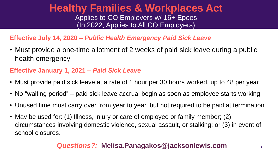### **Healthy Families & Workplaces Act** Applies to CO Employers w/ 16+ Epees (In 2022, Applies to All CO Employers)

#### **Effective July 14, 2020 –** *Public Health Emergency Paid Sick Leave*

• Must provide a one-time allotment of 2 weeks of paid sick leave during a public health emergency

#### **Effective January 1, 2021 –** *Paid Sick Leave*

- Must provide paid sick leave at a rate of 1 hour per 30 hours worked, up to 48 per year
- No "waiting period" paid sick leave accrual begin as soon as employee starts working
- Unused time must carry over from year to year, but not required to be paid at termination
- May be used for: (1) Illness, injury or care of employee or family member; (2) circumstances involving domestic violence, sexual assault, or stalking; or (3) in event of school closures.

#### *Questions?:* **Melisa.Panagakos@jacksonlewis.com 2**